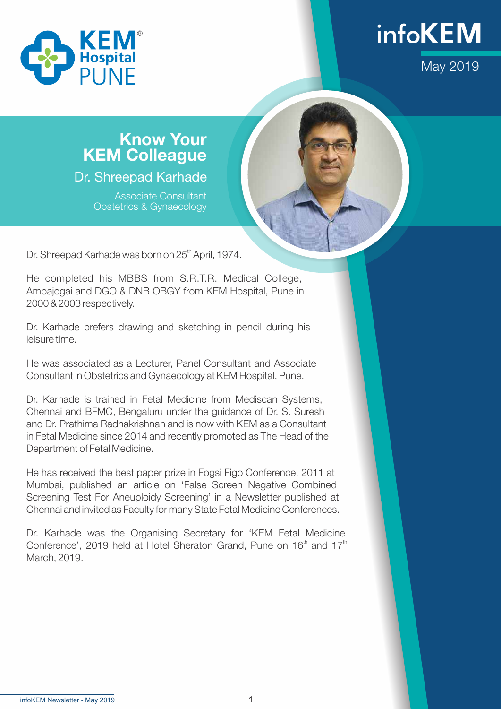



## Know Your KEM Colleague

Dr. Shreepad Karhade

Associate Consultant Obstetrics & Gynaecology

Dr. Shreepad Karhade was born on 25<sup>th</sup> April, 1974.

He completed his MBBS from S.R.T.R. Medical College, Ambajogai and DGO & DNB OBGY from KEM Hospital, Pune in 2000 & 2003 respectively.

Dr. Karhade prefers drawing and sketching in pencil during his leisure time.

He was associated as a Lecturer, Panel Consultant and Associate Consultant in Obstetrics and Gynaecology at KEM Hospital, Pune.

Dr. Karhade is trained in Fetal Medicine from Mediscan Systems, Chennai and BFMC, Bengaluru under the guidance of Dr. S. Suresh and Dr. Prathima Radhakrishnan and is now with KEM as a Consultant in Fetal Medicine since 2014 and recently promoted as The Head of the Department of Fetal Medicine.

He has received the best paper prize in Fogsi Figo Conference, 2011 at Mumbai, published an article on 'False Screen Negative Combined Screening Test For Aneuploidy Screening' in a Newsletter published at Chennai and invited as Faculty for many State Fetal Medicine Conferences.

Dr. Karhade was the Organising Secretary for 'KEM Fetal Medicine Conference', 2019 held at Hotel Sheraton Grand, Pune on  $16<sup>th</sup>$  and  $17<sup>th</sup>$ March, 2019.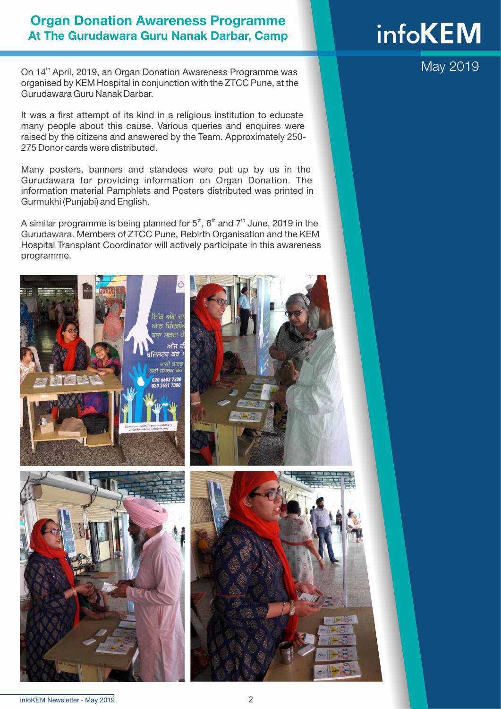### Organ Donation Awareness Programme At The Gurudawara Guru Nanak Darbar, Camp

On 14<sup>th</sup> April, 2019, an Organ Donation Awareness Programme was organised by KEM Hospital in conjunction with the ZTCC Pune, at the Gurudawara Guru Nanak Darbar.

It was a first attempt of its kind in a religious institution to educate many people about this cause. Various queries and enquires were raised by the citizens and answered by the Team. Approximately 250- 275 Donor cards were distributed.

Many posters, banners and standees were put up by us in the Gurudawara for providing information on Organ Donation. The information material Pamphlets and Posters distributed was printed in Gurmukhi (Punjabi) and English.

A similar programme is being planned for  $5<sup>th</sup>$ ,  $6<sup>th</sup>$  and  $7<sup>th</sup>$  June, 2019 in the Gurudawara. Members of ZTCC Pune, Rebirth Organisation and the KEM Hospital Transplant Coordinator will actively participate in this awareness programme.





# **infoKEM**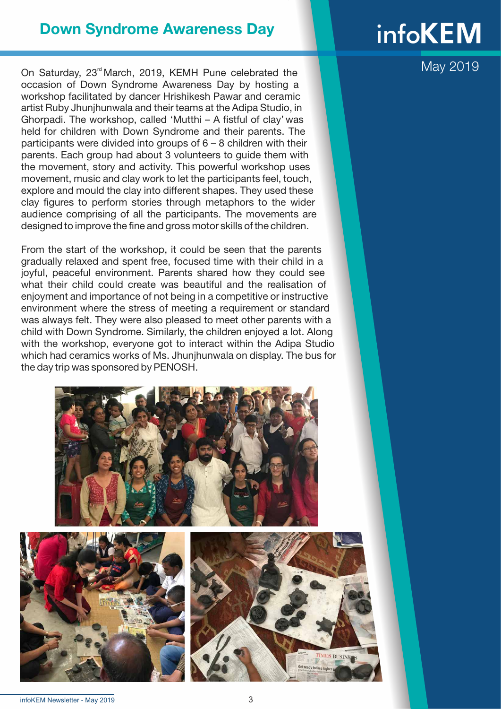### Down Syndrome Awareness Day

On Saturday, 23<sup>rd</sup> March, 2019, KEMH Pune celebrated the occasion of Down Syndrome Awareness Day by hosting a workshop facilitated by dancer Hrishikesh Pawar and ceramic artist Ruby Jhunjhunwala and their teams at the Adipa Studio, in Ghorpadi. The workshop, called 'Mutthi – A fistful of clay' was held for children with Down Syndrome and their parents. The participants were divided into groups of 6 – 8 children with their parents. Each group had about 3 volunteers to guide them with the movement, story and activity. This powerful workshop uses movement, music and clay work to let the participants feel, touch, explore and mould the clay into different shapes. They used these clay figures to perform stories through metaphors to the wider audience comprising of all the participants. The movements are designed to improve the fine and gross motor skills of the children.

From the start of the workshop, it could be seen that the parents gradually relaxed and spent free, focused time with their child in a joyful, peaceful environment. Parents shared how they could see what their child could create was beautiful and the realisation of enjoyment and importance of not being in a competitive or instructive environment where the stress of meeting a requirement or standard was always felt. They were also pleased to meet other parents with a child with Down Syndrome. Similarly, the children enjoyed a lot. Along with the workshop, everyone got to interact within the Adipa Studio which had ceramics works of Ms. Jhunjhunwala on display. The bus for the day trip was sponsored by PENOSH.







# **infoKEM**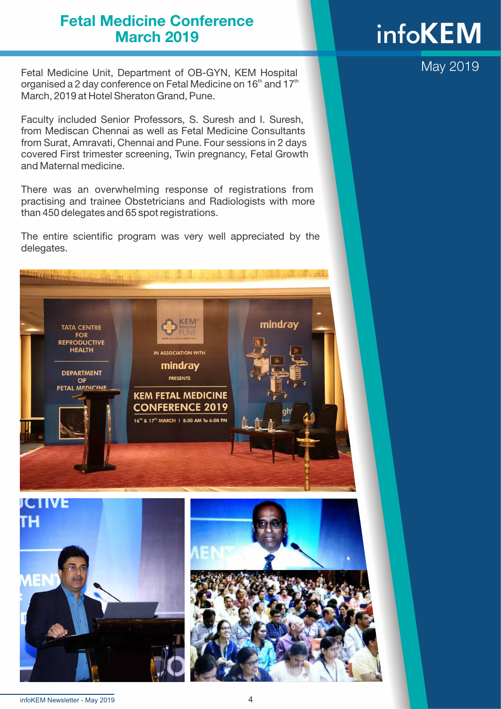### Fetal Medicine Conference March 2019

Fetal Medicine Unit, Department of OB-GYN, KEM Hospital organised a 2 day conference on Fetal Medicine on  $16<sup>th</sup>$  and  $17<sup>th</sup>$ March, 2019 at Hotel Sheraton Grand, Pune.

Faculty included Senior Professors, S. Suresh and I. Suresh, from Mediscan Chennai as well as Fetal Medicine Consultants from Surat, Amravati, Chennai and Pune. Four sessions in 2 days covered First trimester screening, Twin pregnancy, Fetal Growth and Maternal medicine.

There was an overwhelming response of registrations from practising and trainee Obstetricians and Radiologists with more than 450 delegates and 65 spot registrations.

The entire scientific program was very well appreciated by the delegates.





# **infoKEM**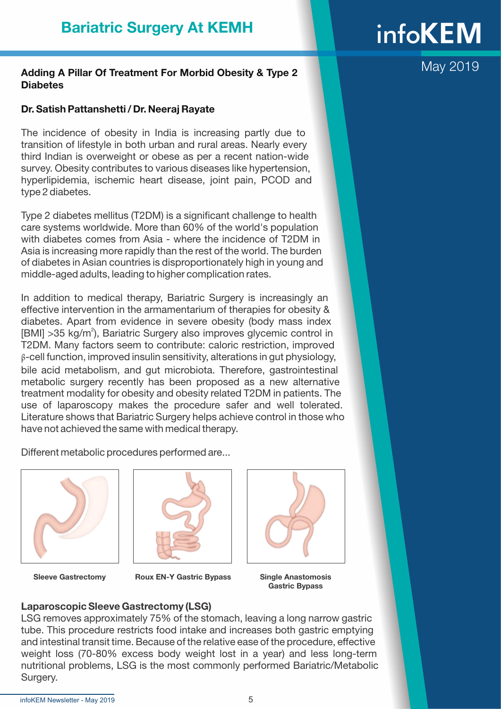#### Adding A Pillar Of Treatment For Morbid Obesity & Type 2 **Diabetes**

#### Dr. Satish Pattanshetti / Dr. Neeraj Rayate

The incidence of obesity in India is increasing partly due to transition of lifestyle in both urban and rural areas. Nearly every third Indian is overweight or obese as per a recent nation-wide survey. Obesity contributes to various diseases like hypertension, hyperlipidemia, ischemic heart disease, joint pain, PCOD and type 2 diabetes.

Type 2 diabetes mellitus (T2DM) is a significant challenge to health care systems worldwide. More than 60% of the world's population with diabetes comes from Asia - where the incidence of T2DM in Asia is increasing more rapidly than the rest of the world. The burden of diabetes in Asian countries is disproportionately high in young and middle-aged adults, leading to higher complication rates.

In addition to medical therapy, Bariatric Surgery is increasingly an effective intervention in the armamentarium of therapies for obesity & diabetes. Apart from evidence in severe obesity (body mass index [BMI] > 35 kg/m<sup>2</sup>), Bariatric Surgery also improves glycemic control in T2DM. Many factors seem to contribute: caloric restriction, improved β-cell function, improved insulin sensitivity, alterations in gut physiology, bile acid metabolism, and gut microbiota. Therefore, gastrointestinal metabolic surgery recently has been proposed as a new alternative treatment modality for obesity and obesity related T2DM in patients. The use of laparoscopy makes the procedure safer and well tolerated. Literature shows that Bariatric Surgery helps achieve control in those who have not achieved the same with medical therapy.

Different metabolic procedures performed are...





Sleeve Gastrectomy Roux EN-Y Gastric Bypass Single Anastomosis



Gastric Bypass

#### Laparoscopic Sleeve Gastrectomy (LSG)

LSG removes approximately 75% of the stomach, leaving a long narrow gastric tube. This procedure restricts food intake and increases both gastric emptying and intestinal transit time. Because of the relative ease of the procedure, effective weight loss (70-80% excess body weight lost in a year) and less long-term nutritional problems, LSG is the most commonly performed Bariatric/Metabolic Surgery.

# **infoKEM**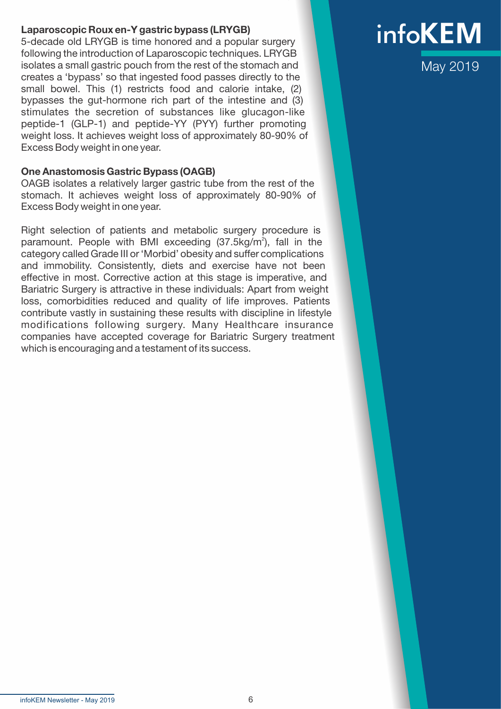#### Laparoscopic Roux en-Y gastric bypass (LRYGB)

5-decade old LRYGB is time honored and a popular surgery following the introduction of Laparoscopic techniques. LRYGB isolates a small gastric pouch from the rest of the stomach and creates a 'bypass' so that ingested food passes directly to the small bowel. This (1) restricts food and calorie intake, (2) bypasses the gut-hormone rich part of the intestine and (3) stimulates the secretion of substances like glucagon-like peptide-1 (GLP-1) and peptide-YY (PYY) further promoting weight loss. It achieves weight loss of approximately 80-90% of Excess Body weight in one year.

#### One Anastomosis Gastric Bypass (OAGB)

OAGB isolates a relatively larger gastric tube from the rest of the stomach. It achieves weight loss of approximately 80-90% of Excess Body weight in one year.

Right selection of patients and metabolic surgery procedure is paramount. People with BMI exceeding (37.5kg/m<sup>2</sup>), fall in the category called Grade III or 'Morbid' obesity and suffer complications and immobility. Consistently, diets and exercise have not been effective in most. Corrective action at this stage is imperative, and Bariatric Surgery is attractive in these individuals: Apart from weight loss, comorbidities reduced and quality of life improves. Patients contribute vastly in sustaining these results with discipline in lifestyle modifications following surgery. Many Healthcare insurance companies have accepted coverage for Bariatric Surgery treatment which is encouraging and a testament of its success.